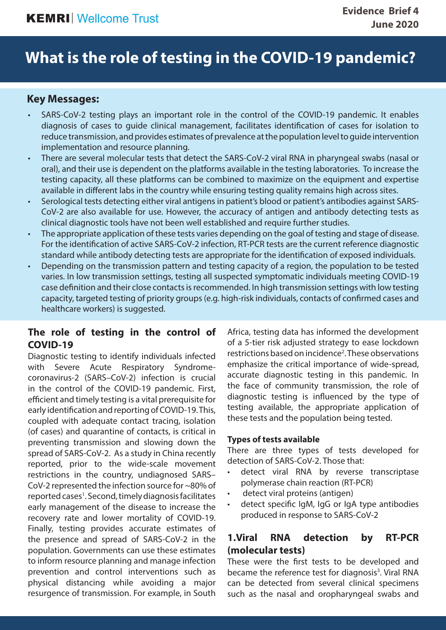# **What is the role of testing in the COVID-19 pandemic?**

## **Key Messages:**

- SARS-CoV-2 testing plays an important role in the control of the COVID-19 pandemic. It enables diagnosis of cases to guide clinical management, facilitates identification of cases for isolation to reduce transmission, and provides estimates of prevalence at the population level to guide intervention implementation and resource planning.
- There are several molecular tests that detect the SARS-CoV-2 viral RNA in pharyngeal swabs (nasal or oral), and their use is dependent on the platforms available in the testing laboratories. To increase the testing capacity, all these platforms can be combined to maximize on the equipment and expertise available in different labs in the country while ensuring testing quality remains high across sites.
- Serological tests detecting either viral antigens in patient's blood or patient's antibodies against SARS-CoV-2 are also available for use. However, the accuracy of antigen and antibody detecting tests as clinical diagnostic tools have not been well established and require further studies.
- The appropriate application of these tests varies depending on the goal of testing and stage of disease. For the identification of active SARS-CoV-2 infection, RT-PCR tests are the current reference diagnostic standard while antibody detecting tests are appropriate for the identification of exposed individuals.
- Depending on the transmission pattern and testing capacity of a region, the population to be tested varies. In low transmission settings, testing all suspected symptomatic individuals meeting COVID-19 case definition and their close contacts is recommended. In high transmission settings with low testing capacity, targeted testing of priority groups (e.g. high-risk individuals, contacts of confirmed cases and healthcare workers) is suggested.

## **The role of testing in the control of COVID-19**

Diagnostic testing to identify individuals infected with Severe Acute Respiratory Syndromecoronavirus-2 (SARS–CoV-2) infection is crucial in the control of the COVID-19 pandemic. First, efficient and timely testing is a vital prerequisite for early identification and reporting of COVID-19. This, coupled with adequate contact tracing, isolation (of cases) and quarantine of contacts, is critical in preventing transmission and slowing down the spread of SARS-CoV-2. As a study in China recently reported, prior to the wide-scale movement restrictions in the country, undiagnosed SARS– CoV-2 represented the infection source for ~80% of reported cases<sup>1</sup>. Second, timely diagnosis facilitates early management of the disease to increase the recovery rate and lower mortality of COVID-19. Finally, testing provides accurate estimates of the presence and spread of SARS-CoV-2 in the population. Governments can use these estimates to inform resource planning and manage infection prevention and control interventions such as physical distancing while avoiding a major resurgence of transmission. For example, in South

Africa, testing data has informed the development of a 5-tier risk adjusted strategy to ease lockdown restrictions based on incidence<sup>2</sup>. These observations emphasize the critical importance of wide-spread, accurate diagnostic testing in this pandemic. In the face of community transmission, the role of diagnostic testing is influenced by the type of testing available, the appropriate application of these tests and the population being tested.

#### **Types of tests available**

There are three types of tests developed for detection of SARS-CoV-2. Those that:

- detect viral RNA by reverse transcriptase polymerase chain reaction (RT-PCR)
- detect viral proteins (antigen)
- detect specific IgM, IgG or IgA type antibodies produced in response to SARS-CoV-2

## **1.Viral RNA detection by RT-PCR (molecular tests)**

These were the first tests to be developed and became the reference test for diagnosis<sup>3</sup>. Viral RNA can be detected from several clinical specimens such as the nasal and oropharyngeal swabs and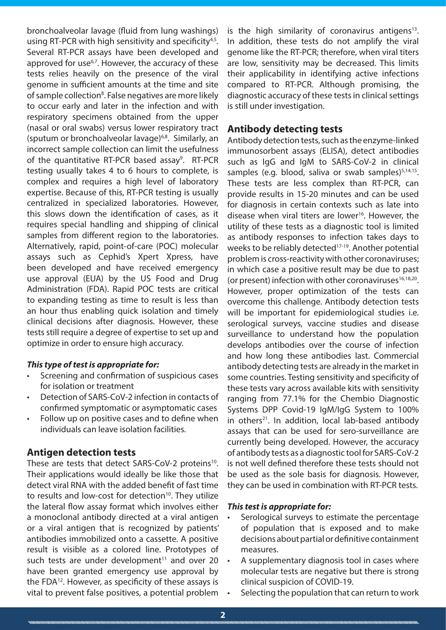bronchoalveolar lavage (fluid from lung washings) using RT-PCR with high sensitivity and specificity<sup>4,5</sup>. Several RT-PCR assays have been developed and approved for use<sup>6,7</sup>. However, the accuracy of these tests relies heavily on the presence of the viral genome in sufficient amounts at the time and site of sample collection<sup>8</sup>. False negatives are more likely to occur early and later in the infection and with respiratory specimens obtained from the upper (nasal or oral swabs) versus lower respiratory tract (sputum or bronchoalveolar lavage)6,8. Similarly, an incorrect sample collection can limit the usefulness of the quantitative RT-PCR based assay<sup>9</sup>. RT-PCR testing usually takes 4 to 6 hours to complete, is complex and requires a high level of laboratory expertise. Because of this, RT-PCR testing is usually centralized in specialized laboratories. However, this slows down the identification of cases, as it requires special handling and shipping of clinical samples from different region to the laboratories. Alternatively, rapid, point-of-care (POC) molecular assays such as Cephid's Xpert Xpress, have been developed and have received emergency use approval (EUA) by the US Food and Drug Administration (FDA). Rapid POC tests are critical to expanding testing as time to result is less than an hour thus enabling quick isolation and timely clinical decisions after diagnosis. However, these tests still require a degree of expertise to set up and optimize in order to ensure high accuracy.

#### *This type of test is appropriate for:*

- Screening and confirmation of suspicious cases for isolation or treatment
- Detection of SARS-CoV-2 infection in contacts of confirmed symptomatic or asymptomatic cases
- Follow up on positive cases and to define when individuals can leave isolation facilities.

#### **Antigen detection tests**

These are tests that detect SARS-CoV-2 proteins<sup>10</sup>. Their applications would ideally be like those that detect viral RNA with the added benefit of fast time to results and low-cost for detection<sup>10</sup>. They utilize the lateral flow assay format which involves either a monoclonal antibody directed at a viral antigen or a viral antigen that is recognized by patients' antibodies immobilized onto a cassette. A positive result is visible as a colored line. Prototypes of such tests are under development $11$  and over 20 have been granted emergency use approval by the FDA12. However, as specificity of these assays is vital to prevent false positives, a potential problem .

is the high similarity of coronavirus antigens<sup>13</sup>. In addition, these tests do not amplify the viral genome like the RT-PCR; therefore, when viral titers are low, sensitivity may be decreased. This limits their applicability in identifying active infections compared to RT-PCR. Although promising, the diagnostic accuracy of these tests in clinical settings is still under investigation.

#### **Antibody detecting tests**

Antibody detection tests, such as the enzyme-linked immunosorbent assays (ELISA), detect antibodies such as IgG and IgM to SARS-CoV-2 in clinical samples (e.g. blood, saliva or swab samples) $5,14,15$ . These tests are less complex than RT-PCR, can provide results in 15-20 minutes and can be used for diagnosis in certain contexts such as late into disease when viral titers are lower<sup>16</sup>. However, the utility of these tests as a diagnostic tool is limited as antibody responses to infection takes days to weeks to be reliably detected<sup>17-19</sup>. Another potential problem is cross-reactivity with other coronaviruses; in which case a positive result may be due to past (or present) infection with other coronaviruses $16,18,20$ . However, proper optimization of the tests can overcome this challenge. Antibody detection tests will be important for epidemiological studies i.e. serological surveys, vaccine studies and disease surveillance to understand how the population develops antibodies over the course of infection and how long these antibodies last. Commercial antibody detecting tests are already in the market in some countries. Testing sensitivity and specificity of these tests vary across available kits with sensitivity ranging from 77.1% for the Chembio Diagnostic Systems DPP Covid-19 IgM/IgG System to 100% in others $21$ . In addition, local lab-based antibody assays that can be used for sero-surveillance are currently being developed. However, the accuracy of antibody tests as a diagnostic tool for SARS-CoV-2 is not well defined therefore these tests should not be used as the sole basis for diagnosis. However, they can be used in combination with RT-PCR tests.

#### *This test is appropriate for:*

- Serological surveys to estimate the percentage of population that is exposed and to make decisions about partial or definitive containment measures.
- A supplementary diagnosis tool in cases where molecular tests are negative but there is strong clinical suspicion of COVID-19.
- Selecting the population that can return to work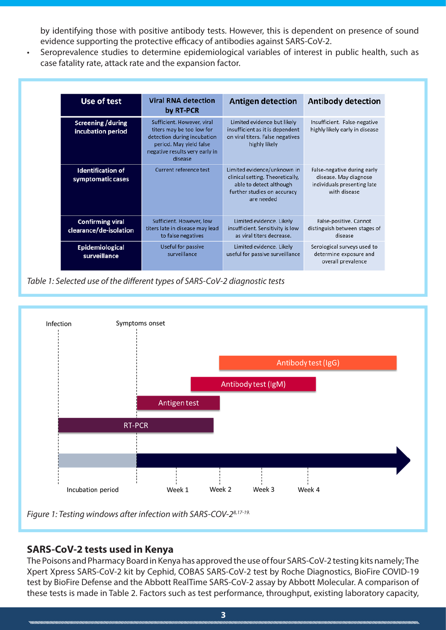by identifying those with positive antibody tests. However, this is dependent on presence of sound evidence supporting the protective efficacy of antibodies against SARS-CoV-2.

• Seroprevalence studies to determine epidemiological variables of interest in public health, such as case fatality rate, attack rate and the expansion factor.

| Use of test                                       | <b>Viral RNA detection</b><br>by RT-PCR                                                                                                                        | <b>Antigen detection</b>                                                                                                                | <b>Antibody detection</b>                                                                           |
|---------------------------------------------------|----------------------------------------------------------------------------------------------------------------------------------------------------------------|-----------------------------------------------------------------------------------------------------------------------------------------|-----------------------------------------------------------------------------------------------------|
| <b>Screening / during</b><br>incubation period    | Sufficient. However, viral<br>titers may be too low for<br>detection during incubation<br>period. May yield false<br>negative results very early in<br>disease | Limited evidence but likely<br>insufficient as it is dependent<br>on viral titers. False negatives<br>highly likely                     | Insufficient. False-negative<br>highly likely early in disease                                      |
| <b>Identification of</b><br>symptomatic cases     | Current reference test                                                                                                                                         | Limited evidence/unknown in<br>clinical setting. Theoretically,<br>able to detect although<br>further studies on accuracy<br>are needed | False-negative during early<br>disease. May diagnose<br>individuals presenting late<br>with disease |
| <b>Confirming viral</b><br>clearance/de-isolation | Sufficient. However, low<br>titers late in disease may lead<br>to false negatives                                                                              | Limited evidence. Likely<br>insufficient. Sensitivity is low<br>as viral titers decrease.                                               | False-positive. Cannot<br>distinguish between stages of<br>disease                                  |
| <b>Epidemiological</b><br>surveillance            | Useful for passive<br>surveillance                                                                                                                             | Limited evidence. Likely<br>useful for passive surveillance                                                                             | Serological surveys used to<br>determine exposure and<br>overall prevalence                         |

*Table 1: Selected use of the different types of SARS-CoV-2 diagnostic tests*



## **SARS-CoV-2 tests used in Kenya**

The Poisons and Pharmacy Board in Kenya has approved the use of four SARS-CoV-2 testing kits namely; The Xpert Xpress SARS-CoV-2 kit by Cephid, COBAS SARS-CoV-2 test by Roche Diagnostics, BioFire COVID-19 test by BioFire Defense and the Abbott RealTime SARS-CoV-2 assay by Abbott Molecular. A comparison of these tests is made in Table 2. Factors such as test performance, throughput, existing laboratory capacity,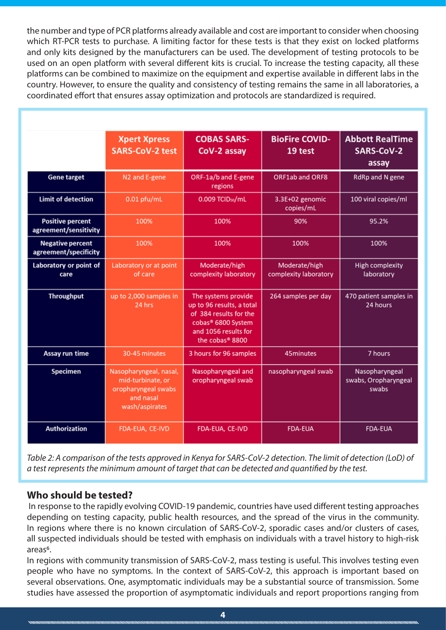the number and type of PCR platforms already available and cost are important to consider when choosing which RT-PCR tests to purchase. A limiting factor for these tests is that they exist on locked platforms and only kits designed by the manufacturers can be used. The development of testing protocols to be used on an open platform with several different kits is crucial. To increase the testing capacity, all these platforms can be combined to maximize on the equipment and expertise available in different labs in the country. However, to ensure the quality and consistency of testing remains the same in all laboratories, a coordinated effort that ensures assay optimization and protocols are standardized is required.

|                                                  | <b>Xpert Xpress</b><br><b>SARS-CoV-2 test</b>                                                     | <b>COBAS SARS-</b><br>CoV-2 assay                                                                                                                       | <b>BioFire COVID-</b><br>19 test       | <b>Abbott RealTime</b><br>SARS-CoV-2<br>assay   |
|--------------------------------------------------|---------------------------------------------------------------------------------------------------|---------------------------------------------------------------------------------------------------------------------------------------------------------|----------------------------------------|-------------------------------------------------|
| <b>Gene target</b>                               | N <sub>2</sub> and E-gene                                                                         | ORF-1a/b and E-gene<br>regions                                                                                                                          | ORF1ab and ORF8                        | RdRp and N gene                                 |
| <b>Limit of detection</b>                        | $0.01$ pfu/mL                                                                                     | 0.009 TCIDso/mL                                                                                                                                         | 3.3E+02 genomic<br>copies/mL           | 100 viral copies/ml                             |
| <b>Positive percent</b><br>agreement/sensitivity | 100%                                                                                              | 100%                                                                                                                                                    | 90%                                    | 95.2%                                           |
| <b>Negative percent</b><br>agreement/specificity | 100%                                                                                              | 100%                                                                                                                                                    | 100%                                   | 100%                                            |
| Laboratory or point of<br>care                   | Laboratory or at point<br>of care                                                                 | Moderate/high<br>complexity laboratory                                                                                                                  | Moderate/high<br>complexity laboratory | <b>High complexity</b><br>laboratory            |
| <b>Throughput</b>                                | up to 2,000 samples in<br>24 hrs                                                                  | The systems provide<br>up to 96 results, a total<br>of 384 results for the<br>cobas <sup>®</sup> 6800 System<br>and 1056 results for<br>the cobas® 8800 | 264 samples per day                    | 470 patient samples in<br>24 hours              |
| Assay run time                                   | 30-45 minutes                                                                                     | 3 hours for 96 samples                                                                                                                                  | 45minutes                              | 7 hours                                         |
| <b>Specimen</b>                                  | Nasopharyngeal, nasal,<br>mid-turbinate, or<br>oropharyngeal swabs<br>and nasal<br>wash/aspirates | Nasopharyngeal and<br>oropharyngeal swab                                                                                                                | nasopharyngeal swab                    | Nasopharyngeal<br>swabs, Oropharyngeal<br>swabs |
| <b>Authorization</b>                             | FDA-EUA, CE-IVD                                                                                   | FDA-EUA, CE-IVD                                                                                                                                         | <b>FDA-EUA</b>                         | <b>FDA-EUA</b>                                  |

*Table 2: A comparison of the tests approved in Kenya for SARS-CoV-2 detection. The limit of detection (LoD) of a test represents the minimum amount of target that can be detected and quantified by the test.* 

### **Who should be tested?**

 In response to the rapidly evolving COVID-19 pandemic, countries have used different testing approaches depending on testing capacity, public health resources, and the spread of the virus in the community. In regions where there is no known circulation of SARS-CoV-2, sporadic cases and/or clusters of cases, all suspected individuals should be tested with emphasis on individuals with a travel history to high-risk areas<sup>6</sup>.

In regions with community transmission of SARS-CoV-2, mass testing is useful. This involves testing even people who have no symptoms. In the context of SARS-CoV-2, this approach is important based on several observations. One, asymptomatic individuals may be a substantial source of transmission. Some studies have assessed the proportion of asymptomatic individuals and report proportions ranging from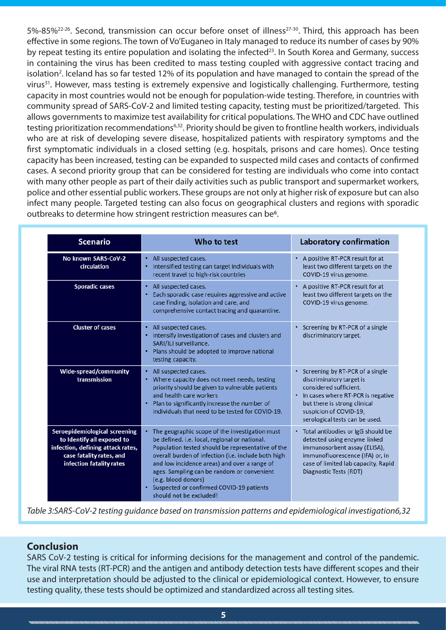5%-85%<sup>22-26</sup>. Second, transmission can occur before onset of illness<sup>27-30</sup>. Third, this approach has been effective in some regions. The town of Vo'Euganeo in Italy managed to reduce its number of cases by 90% by repeat testing its entire population and isolating the infected<sup>23</sup>. In South Korea and Germany, success in containing the virus has been credited to mass testing coupled with aggressive contact tracing and isolation<sup>2</sup>. Iceland has so far tested 12% of its population and have managed to contain the spread of the virus<sup>31</sup>. However, mass testing is extremely expensive and logistically challenging. Furthermore, testing capacity in most countries would not be enough for population-wide testing. Therefore, in countries with community spread of SARS-CoV-2 and limited testing capacity, testing must be prioritized/targeted. This allows governments to maximize test availability for critical populations. The WHO and CDC have outlined testing prioritization recommendations<sup>6,32</sup>. Priority should be given to frontline health workers, individuals who are at risk of developing severe disease, hospitalized patients with respiratory symptoms and the first symptomatic individuals in a closed setting (e.g. hospitals, prisons and care homes). Once testing capacity has been increased, testing can be expanded to suspected mild cases and contacts of confirmed cases. A second priority group that can be considered for testing are individuals who come into contact with many other people as part of their daily activities such as public transport and supermarket workers, police and other essential public workers. These groups are not only at higher risk of exposure but can also infect many people. Targeted testing can also focus on geographical clusters and regions with sporadic outbreaks to determine how stringent restriction measures can be<sup>6</sup>.

| <b>Scenario</b>                                                                                                                                          | Who to test                                                                                                                                                                                                                                                                                                                                                                                               | <b>Laboratory confirmation</b>                                                                                                                                                                                             |  |
|----------------------------------------------------------------------------------------------------------------------------------------------------------|-----------------------------------------------------------------------------------------------------------------------------------------------------------------------------------------------------------------------------------------------------------------------------------------------------------------------------------------------------------------------------------------------------------|----------------------------------------------------------------------------------------------------------------------------------------------------------------------------------------------------------------------------|--|
| No known SARS-CoV-2<br>circulation                                                                                                                       | • All suspected cases.<br>Intensified testing can target individuals with<br>٠<br>recent travel to high-risk countries                                                                                                                                                                                                                                                                                    | • A positive RT-PCR result for at<br>least two different targets on the<br>COVID-19 virus genome.                                                                                                                          |  |
| <b>Sporadic cases</b>                                                                                                                                    | • All suspected cases.<br>Each sporadic case requires aggressive and active<br>case finding, isolation and care, and<br>comprehensive contact tracing and quarantine.                                                                                                                                                                                                                                     | • A positive RT-PCR result for at<br>least two different targets on the<br>COVID-19 virus genome.                                                                                                                          |  |
| <b>Cluster of cases</b>                                                                                                                                  | • All suspected cases.<br>• Intensify investigation of cases and clusters and<br>SARI/ILI surveillance.<br>• Plans should be adopted to improve national<br>testing capacity.                                                                                                                                                                                                                             | • Screening by RT-PCR of a single<br>discriminatory target.                                                                                                                                                                |  |
| Wide-spread/community<br>transmission                                                                                                                    | • All suspected cases.<br>• Where capacity does not meet needs, testing<br>priority should be given to vulnerable patients<br>and health care workers<br>• Plan to significantly increase the number of<br>individuals that need to be tested for COVID-19.                                                                                                                                               | • Screening by RT-PCR of a single<br>discriminatory target is<br>considered sufficient.<br>• In cases where RT-PCR is negative<br>but there is strong clinical<br>suspicion of COVID-19,<br>serological tests can be used. |  |
| Seroepidemiological screening<br>to Identify all exposed to<br>infection, defining attack rates,<br>case fatality rates, and<br>infection fatality rates | The geographic scope of the investigation must<br>be defined. i.e. local, regional or national.<br>Population tested should be representative of the<br>overall burden of infection (i.e. include both high<br>and low incidence areas) and over a range of<br>ages. Sampling can be random or convenient<br>(e.g. blood donors)<br>• Suspected or confirmed COVID-19 patients<br>should not be excluded! | • Total antibodies or IgG should be<br>detected using enzyme linked<br>immunosorbent assay (ELISA),<br>immunofluorescence (IFA) or, in<br>case of limited lab capacity, Rapid<br>Diagnostic Tests (RDT)                    |  |

*Table 3:SARS-CoV-2 testing guidance based on transmission patterns and epidemiological investigation6,32*

## **Conclusion**

SARS CoV-2 testing is critical for informing decisions for the management and control of the pandemic. The viral RNA tests (RT-PCR) and the antigen and antibody detection tests have different scopes and their use and interpretation should be adjusted to the clinical or epidemiological context. However, to ensure testing quality, these tests should be optimized and standardized across all testing sites.